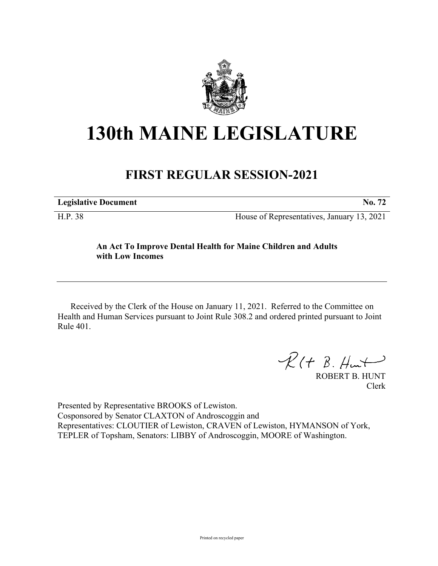

## **130th MAINE LEGISLATURE**

## **FIRST REGULAR SESSION-2021**

| <b>Legislative Document</b> | No. 72                                     |
|-----------------------------|--------------------------------------------|
| H.P. 38                     | House of Representatives, January 13, 2021 |

## **An Act To Improve Dental Health for Maine Children and Adults with Low Incomes**

Received by the Clerk of the House on January 11, 2021. Referred to the Committee on Health and Human Services pursuant to Joint Rule 308.2 and ordered printed pursuant to Joint Rule 401.

 $R(H B. H<sub>un</sub>+)$ 

ROBERT B. HUNT Clerk

Presented by Representative BROOKS of Lewiston. Cosponsored by Senator CLAXTON of Androscoggin and Representatives: CLOUTIER of Lewiston, CRAVEN of Lewiston, HYMANSON of York, TEPLER of Topsham, Senators: LIBBY of Androscoggin, MOORE of Washington.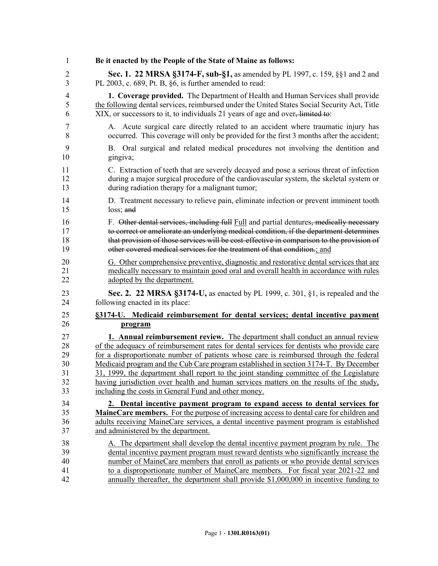| 1              | Be it enacted by the People of the State of Maine as follows:                                  |
|----------------|------------------------------------------------------------------------------------------------|
| $\overline{2}$ | <b>Sec. 1. 22 MRSA §3174-F, sub-§1, as amended by PL 1997, c. 159, §§1 and 2 and</b>           |
| 3              | PL 2003, c. 689, Pt. B, §6, is further amended to read:                                        |
| 4              | 1. Coverage provided. The Department of Health and Human Services shall provide                |
| 5              | the following dental services, reimbursed under the United States Social Security Act, Title   |
| 6              | XIX, or successors to it, to individuals 21 years of age and over <del>, limited to</del> :    |
| 7              | A. Acute surgical care directly related to an accident where traumatic injury has              |
| 8              | occurred. This coverage will only be provided for the first 3 months after the accident;       |
| 9              | B. Oral surgical and related medical procedures not involving the dentition and                |
| 10             | gingiva;                                                                                       |
| 11             | C. Extraction of teeth that are severely decayed and pose a serious threat of infection        |
| 12             | during a major surgical procedure of the cardiovascular system, the skeletal system or         |
| 13             | during radiation therapy for a malignant tumor;                                                |
| 14             | D. Treatment necessary to relieve pain, eliminate infection or prevent imminent tooth          |
| 15             | $loss;$ and                                                                                    |
| 16             | F. Other dental services, including full Full and partial dentures, medically necessary        |
| 17             | to correct or ameliorate an underlying medical condition, if the department determines         |
| 18             | that provision of those services will be cost-effective in comparison to the provision of      |
| 19             | other covered medical services for the treatment of that condition.; and                       |
| 20             | G. Other comprehensive preventive, diagnostic and restorative dental services that are         |
| 21             | medically necessary to maintain good oral and overall health in accordance with rules          |
| 22             | adopted by the department.                                                                     |
| 23             | Sec. 2. 22 MRSA §3174-U, as enacted by PL 1999, c. 301, §1, is repealed and the                |
| 24             | following enacted in its place:                                                                |
| 25             | §3174-U. Medicaid reimbursement for dental services; dental incentive payment                  |
| 26             | program                                                                                        |
| 27             | <b>1. Annual reimbursement review.</b> The department shall conduct an annual review           |
| 28             | of the adequacy of reimbursement rates for dental services for dentists who provide care       |
| 29             | for a disproportionate number of patients whose care is reimbursed through the federal         |
| 30             | Medicaid program and the Cub Care program established in section 3174-T. By December           |
| 31             | 31, 1999, the department shall report to the joint standing committee of the Legislature       |
| 32             | having jurisdiction over health and human services matters on the results of the study,        |
| 33             | including the costs in General Fund and other money.                                           |
| 34             | 2. Dental incentive payment program to expand access to dental services for                    |
| 35             | <b>MaineCare members.</b> For the purpose of increasing access to dental care for children and |
| 36             | adults receiving MaineCare services, a dental incentive payment program is established         |
| 37             | and administered by the department.                                                            |
| 38             | A. The department shall develop the dental incentive payment program by rule. The              |
| 39             | dental incentive payment program must reward dentists who significantly increase the           |
| 40             | number of MaineCare members that enroll as patients or who provide dental services             |
| 41             | to a disproportionate number of MaineCare members. For fiscal year 2021-22 and                 |
| 42             | annually thereafter, the department shall provide $$1,000,000$ in incentive funding to         |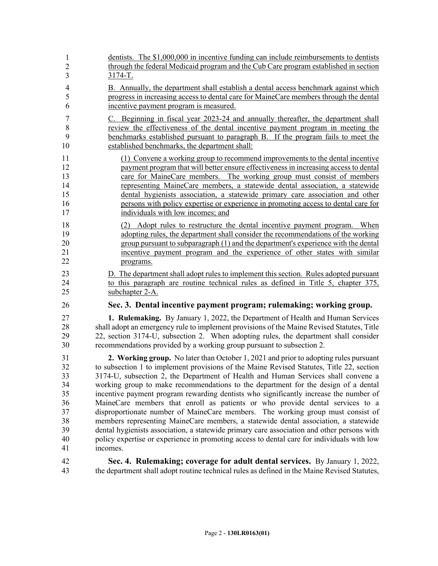| 1              | dentists. The \$1,000,000 in incentive funding can include reimbursements to dentists        |
|----------------|----------------------------------------------------------------------------------------------|
| $\overline{2}$ | through the federal Medicaid program and the Cub Care program established in section         |
| 3              | $3174 - T$ .                                                                                 |
| $\overline{4}$ | B. Annually, the department shall establish a dental access benchmark against which          |
| 5              | progress in increasing access to dental care for MaineCare members through the dental        |
| 6              | incentive payment program is measured.                                                       |
| 7              | C. Beginning in fiscal year 2023-24 and annually thereafter, the department shall            |
| 8              | review the effectiveness of the dental incentive payment program in meeting the              |
| 9              | benchmarks established pursuant to paragraph B. If the program fails to meet the             |
| 10             | established benchmarks, the department shall:                                                |
| 11             | (1) Convene a working group to recommend improvements to the dental incentive                |
| 12             | payment program that will better ensure effectiveness in increasing access to dental         |
| 13             | care for MaineCare members. The working group must consist of members                        |
| 14             | representing MaineCare members, a statewide dental association, a statewide                  |
| 15             | dental hygienists association, a statewide primary care association and other                |
| 16             | persons with policy expertise or experience in promoting access to dental care for           |
| 17             | individuals with low incomes; and                                                            |
| 18             | (2) Adopt rules to restructure the dental incentive payment program. When                    |
| 19             | adopting rules, the department shall consider the recommendations of the working             |
| 20             | group pursuant to subparagraph (1) and the department's experience with the dental           |
| 21             | incentive payment program and the experience of other states with similar                    |
| 22             | programs.                                                                                    |
| 23             | D. The department shall adopt rules to implement this section. Rules adopted pursuant        |
| 24             | to this paragraph are routine technical rules as defined in Title 5, chapter 375,            |
| 25             | subchapter 2-A.                                                                              |
| 26             | Sec. 3. Dental incentive payment program; rulemaking; working group.                         |
| 27             | 1. Rulemaking. By January 1, 2022, the Department of Health and Human Services               |
| 28             | shall adopt an emergency rule to implement provisions of the Maine Revised Statutes, Title   |
| 29             | 22, section 3174-U, subsection 2. When adopting rules, the department shall consider         |
| 30             | recommendations provided by a working group pursuant to subsection 2.                        |
| 31             | 2. Working group. No later than October 1, 2021 and prior to adopting rules pursuant         |
| 32             | to subsection 1 to implement provisions of the Maine Revised Statutes, Title 22, section     |
| 33             | 3174-U, subsection 2, the Department of Health and Human Services shall convene a            |
| 34             | working group to make recommendations to the department for the design of a dental           |
| 35             | incentive payment program rewarding dentists who significantly increase the number of        |
| 36             | MaineCare members that enroll as patients or who provide dental services to a                |
| 37             | disproportionate number of MaineCare members. The working group must consist of              |
| 38             | members representing MaineCare members, a statewide dental association, a statewide          |
| 39             | dental hygienists association, a statewide primary care association and other persons with   |
| 40             | policy expertise or experience in promoting access to dental care for individuals with low   |
| 41             | incomes.                                                                                     |
| 42             | Sec. 4. Rulemaking; coverage for adult dental services. By January 1, 2022,                  |
| 43             | the department shall adopt routine technical rules as defined in the Maine Revised Statutes, |